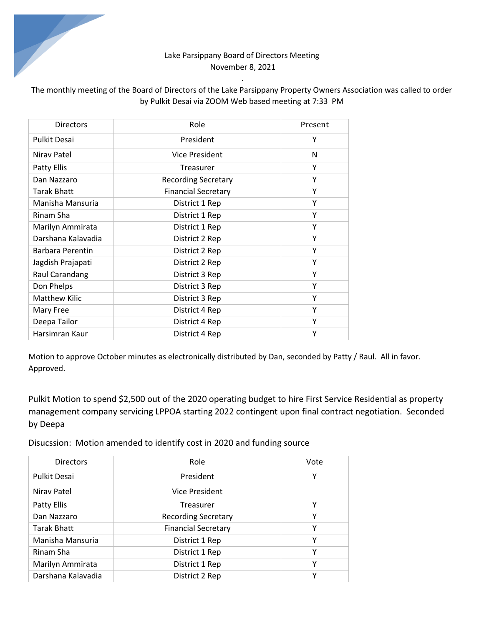## Lake Parsippany Board of Directors Meeting November 8, 2021

*.* 

## The monthly meeting of the Board of Directors of the Lake Parsippany Property Owners Association was called to order by Pulkit Desai via ZOOM Web based meeting at 7:33 PM

| <b>Directors</b>     | Role                       | Present |
|----------------------|----------------------------|---------|
| <b>Pulkit Desai</b>  | President                  | Υ       |
| Niray Patel          | Vice President             | N       |
| Patty Ellis          | Treasurer                  | Υ       |
| Dan Nazzaro          | <b>Recording Secretary</b> | Υ       |
| Tarak Bhatt          | <b>Financial Secretary</b> | Υ       |
| Manisha Mansuria     | District 1 Rep             | Υ       |
| Rinam Sha            | District 1 Rep             | Y       |
| Marilyn Ammirata     | District 1 Rep             | Υ       |
| Darshana Kalavadia   | District 2 Rep             | Y       |
| Barbara Perentin     | District 2 Rep             | Y       |
| Jagdish Prajapati    | District 2 Rep             | Υ       |
| Raul Carandang       | District 3 Rep             | Y       |
| Don Phelps           | District 3 Rep             | Υ       |
| <b>Matthew Kilic</b> | District 3 Rep             | Υ       |
| Mary Free            | District 4 Rep             | Y       |
| Deepa Tailor         | District 4 Rep             | Y       |
| Harsimran Kaur       | District 4 Rep             | Υ       |

Motion to approve October minutes as electronically distributed by Dan, seconded by Patty / Raul. All in favor. Approved.

Pulkit Motion to spend \$2,500 out of the 2020 operating budget to hire First Service Residential as property management company servicing LPPOA starting 2022 contingent upon final contract negotiation. Seconded by Deepa

Disucssion: Motion amended to identify cost in 2020 and funding source

| <b>Directors</b>    | Role                       | Vote |
|---------------------|----------------------------|------|
| <b>Pulkit Desai</b> | President                  | Υ    |
| Niray Patel         | <b>Vice President</b>      |      |
| Patty Ellis         | Treasurer                  | Υ    |
| Dan Nazzaro         | <b>Recording Secretary</b> | Υ    |
| Tarak Bhatt         | <b>Financial Secretary</b> | Υ    |
| Manisha Mansuria    | District 1 Rep             | Υ    |
| Rinam Sha           | District 1 Rep             | Υ    |
| Marilyn Ammirata    | District 1 Rep             | Υ    |
| Darshana Kalavadia  | District 2 Rep             | v    |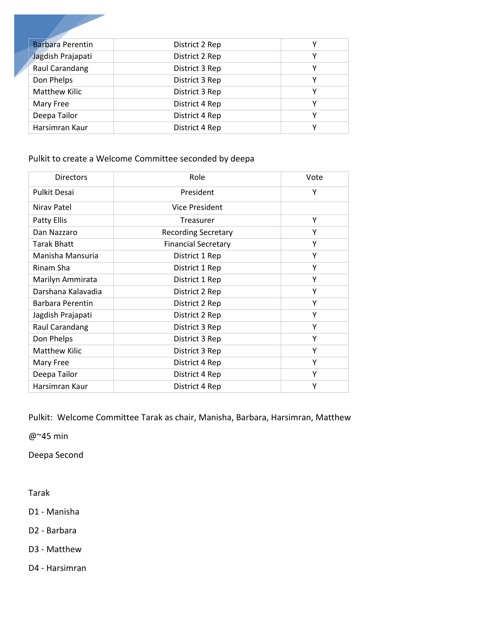| <b>Barbara Perentin</b> | District 2 Rep | Υ |
|-------------------------|----------------|---|
| Jagdish Prajapati       | District 2 Rep | Υ |
| Raul Carandang          | District 3 Rep | Υ |
| Don Phelps              | District 3 Rep | Υ |
| <b>Matthew Kilic</b>    | District 3 Rep | γ |
| Mary Free               | District 4 Rep | γ |
| Deepa Tailor            | District 4 Rep | ٧ |
| Harsimran Kaur          | District 4 Rep | v |

## Pulkit to create a Welcome Committee seconded by deepa

| <b>Directors</b>     | Role                       | Vote |
|----------------------|----------------------------|------|
| <b>Pulkit Desai</b>  | President                  | Υ    |
| Niray Patel          | Vice President             |      |
| Patty Ellis          | Treasurer                  | Y    |
| Dan Nazzaro          | <b>Recording Secretary</b> | Υ    |
| Tarak Bhatt          | <b>Financial Secretary</b> | Υ    |
| Manisha Mansuria     | District 1 Rep             | Υ    |
| Rinam Sha            | District 1 Rep             | Υ    |
| Marilyn Ammirata     | District 1 Rep             | Υ    |
| Darshana Kalavadia   | District 2 Rep             | Υ    |
| Barbara Perentin     | District 2 Rep             | Υ    |
| Jagdish Prajapati    | District 2 Rep             | Υ    |
| Raul Carandang       | District 3 Rep             | Υ    |
| Don Phelps           | District 3 Rep             | Υ    |
| <b>Matthew Kilic</b> | District 3 Rep             | Υ    |
| Mary Free            | District 4 Rep             | Υ    |
| Deepa Tailor         | District 4 Rep             | Υ    |
| Harsimran Kaur       | District 4 Rep             | Υ    |

Pulkit: Welcome Committee Tarak as chair, Manisha, Barbara, Harsimran, Matthew

@~45 min

Deepa Second

Tarak

D1 - Manisha

D2 - Barbara

D3 - Matthew

D4 - Harsimran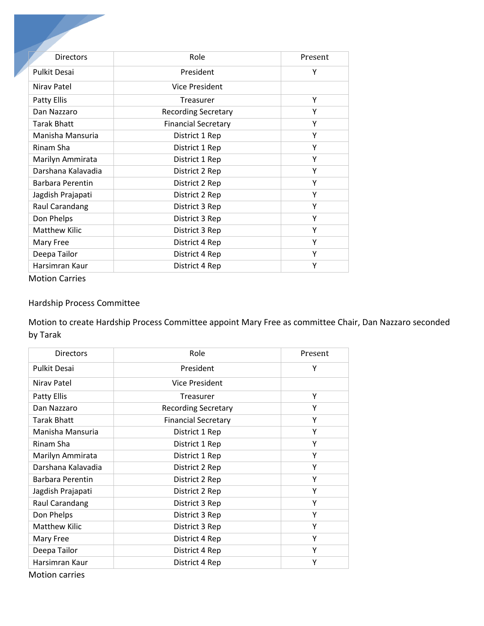| <b>Directors</b>    | Role                       | Present |
|---------------------|----------------------------|---------|
| <b>Pulkit Desai</b> | President                  | Υ       |
| Niray Patel         | Vice President             |         |
| <b>Patty Ellis</b>  | Treasurer                  | Y       |
| Dan Nazzaro         | <b>Recording Secretary</b> | Y       |
| <b>Tarak Bhatt</b>  | <b>Financial Secretary</b> | Υ       |
| Manisha Mansuria    | District 1 Rep             | Y       |
| Rinam Sha           | District 1 Rep             | Υ       |
| Marilyn Ammirata    | District 1 Rep             | Υ       |
| Darshana Kalavadia  | District 2 Rep             | Y       |
| Barbara Perentin    | District 2 Rep             | Υ       |
| Jagdish Prajapati   | District 2 Rep             | Y       |
| Raul Carandang      | District 3 Rep             | Y       |
| Don Phelps          | District 3 Rep             | Υ       |
| Matthew Kilic       | District 3 Rep             | Υ       |
| Mary Free           | District 4 Rep             | Y       |
| Deepa Tailor        | District 4 Rep             | Υ       |
| Harsimran Kaur      | District 4 Rep             | Υ       |

Motion Carries

## Hardship Process Committee

Motion to create Hardship Process Committee appoint Mary Free as committee Chair, Dan Nazzaro seconded by Tarak

| <b>Directors</b>     | Role                       | Present |
|----------------------|----------------------------|---------|
| <b>Pulkit Desai</b>  | President                  | Υ       |
| Niray Patel          | Vice President             |         |
| <b>Patty Ellis</b>   | Treasurer                  | Υ       |
| Dan Nazzaro          | <b>Recording Secretary</b> | Υ       |
| <b>Tarak Bhatt</b>   | <b>Financial Secretary</b> | Υ       |
| Manisha Mansuria     | District 1 Rep             | Υ       |
| Rinam Sha            | District 1 Rep             | Y       |
| Marilyn Ammirata     | District 1 Rep             | Y       |
| Darshana Kalavadia   | District 2 Rep             | Y       |
| Barbara Perentin     | District 2 Rep             | Y       |
| Jagdish Prajapati    | District 2 Rep             | Υ       |
| Raul Carandang       | District 3 Rep             | Υ       |
| Don Phelps           | District 3 Rep             | Υ       |
| <b>Matthew Kilic</b> | District 3 Rep             | Υ       |
| Mary Free            | District 4 Rep             | Υ       |
| Deepa Tailor         | District 4 Rep             | Υ       |
| Harsimran Kaur       | District 4 Rep             | Υ       |

Motion carries